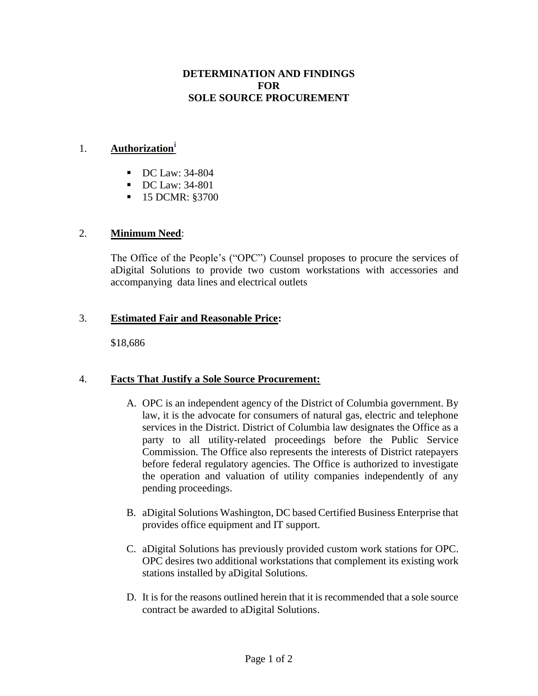# **DETERMINATION AND FINDINGS FOR SOLE SOURCE PROCUREMENT**

### 1. **Authorization<sup>i</sup>**

- DC Law: 34-804
- DC Law: 34-801
- 15 DCMR: §3700

# 2. **Minimum Need**:

The Office of the People's ("OPC") Counsel proposes to procure the services of aDigital Solutions to provide two custom workstations with accessories and accompanying data lines and electrical outlets

# 3. **Estimated Fair and Reasonable Price:**

\$18,686

# 4. **Facts That Justify a Sole Source Procurement:**

- A. OPC is an independent agency of the District of Columbia government. By law, it is the advocate for consumers of natural gas, electric and telephone services in the District. District of Columbia law designates the Office as a party to all utility-related proceedings before the Public Service Commission. The Office also represents the interests of District ratepayers before federal regulatory agencies. The Office is authorized to investigate the operation and valuation of utility companies independently of any pending proceedings.
- B. aDigital Solutions Washington, DC based Certified Business Enterprise that provides office equipment and IT support.
- C. aDigital Solutions has previously provided custom work stations for OPC. OPC desires two additional workstations that complement its existing work stations installed by aDigital Solutions.
- D. It is for the reasons outlined herein that it is recommended that a sole source contract be awarded to aDigital Solutions.